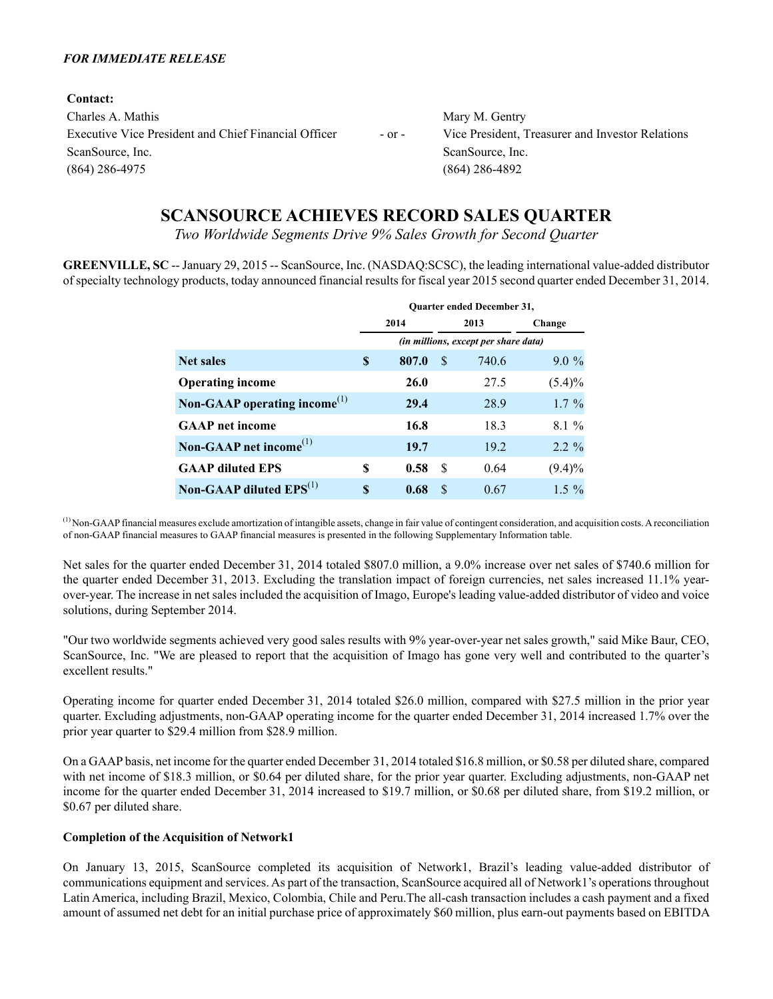### *FOR IMMEDIATE RELEASE*

**Contact:** Charles A. Mathis Mary M. Gentry Executive Vice President and Chief Financial Officer - or - Vice President, Treasurer and Investor Relations ScanSource, Inc. ScanSource, Inc. ScanSource, Inc. (864) 286-4975 (864) 286-4892

# **SCANSOURCE ACHIEVES RECORD SALES QUARTER**

*Two Worldwide Segments Drive 9% Sales Growth for Second Quarter*

**GREENVILLE, SC** -- January 29, 2015 -- ScanSource, Inc. (NASDAQ:SCSC), the leading international value-added distributor of specialty technology products, today announced financial results for fiscal year 2015 second quarter ended December 31, 2014.

|                                                       | <b>Ouarter ended December 31,</b> |             |   |                                             |           |  |  |  |  |
|-------------------------------------------------------|-----------------------------------|-------------|---|---------------------------------------------|-----------|--|--|--|--|
|                                                       |                                   | 2014        |   | 2013                                        | Change    |  |  |  |  |
|                                                       |                                   |             |   | <i>(in millions, except per share data)</i> |           |  |  |  |  |
| <b>Net sales</b>                                      | \$                                | 807.0       | S | 740.6                                       | 9.0 %     |  |  |  |  |
| <b>Operating income</b>                               |                                   | <b>26.0</b> |   | 27.5                                        | $(5.4)\%$ |  |  |  |  |
| Non-GAAP operating income <sup><math>(1)</math></sup> |                                   | 29.4        |   | 28.9                                        | $1.7\%$   |  |  |  |  |
| <b>GAAP</b> net income                                |                                   | 16.8        |   | 18.3                                        | $8.1\%$   |  |  |  |  |
| Non-GAAP net income <sup>(1)</sup>                    |                                   | 19.7        |   | 19.2                                        | $2.2 \%$  |  |  |  |  |
| <b>GAAP</b> diluted EPS                               | S                                 | 0.58        | S | 0.64                                        | $(9.4)\%$ |  |  |  |  |
| Non-GAAP diluted $EPS^{(1)}$                          | \$                                | 0.68        | S | 0.67                                        | $1.5\%$   |  |  |  |  |

 $<sup>(1)</sup>$  Non-GAAP financial measures exclude amortization of intangible assets, change in fair value of contingent consideration, and acquisition costs. A reconciliation</sup> of non-GAAP financial measures to GAAP financial measures is presented in the following Supplementary Information table.

Net sales for the quarter ended December 31, 2014 totaled \$807.0 million, a 9.0% increase over net sales of \$740.6 million for the quarter ended December 31, 2013. Excluding the translation impact of foreign currencies, net sales increased 11.1% yearover-year. The increase in net sales included the acquisition of Imago, Europe's leading value-added distributor of video and voice solutions, during September 2014.

"Our two worldwide segments achieved very good sales results with 9% year-over-year net sales growth," said Mike Baur, CEO, ScanSource, Inc. "We are pleased to report that the acquisition of Imago has gone very well and contributed to the quarter's excellent results."

Operating income for quarter ended December 31, 2014 totaled \$26.0 million, compared with \$27.5 million in the prior year quarter. Excluding adjustments, non-GAAP operating income for the quarter ended December 31, 2014 increased 1.7% over the prior year quarter to \$29.4 million from \$28.9 million.

On a GAAPbasis, net income for the quarter ended December 31, 2014 totaled \$16.8 million, or \$0.58 per diluted share, compared with net income of \$18.3 million, or \$0.64 per diluted share, for the prior year quarter. Excluding adjustments, non-GAAP net income for the quarter ended December 31, 2014 increased to \$19.7 million, or \$0.68 per diluted share, from \$19.2 million, or \$0.67 per diluted share.

### **Completion of the Acquisition of Network1**

On January 13, 2015, ScanSource completed its acquisition of Network1, Brazil's leading value-added distributor of communications equipment and services. As part of the transaction, ScanSource acquired all of Network1's operations throughout Latin America, including Brazil, Mexico, Colombia, Chile and Peru.The all-cash transaction includes a cash payment and a fixed amount of assumed net debt for an initial purchase price of approximately \$60 million, plus earn-out payments based on EBITDA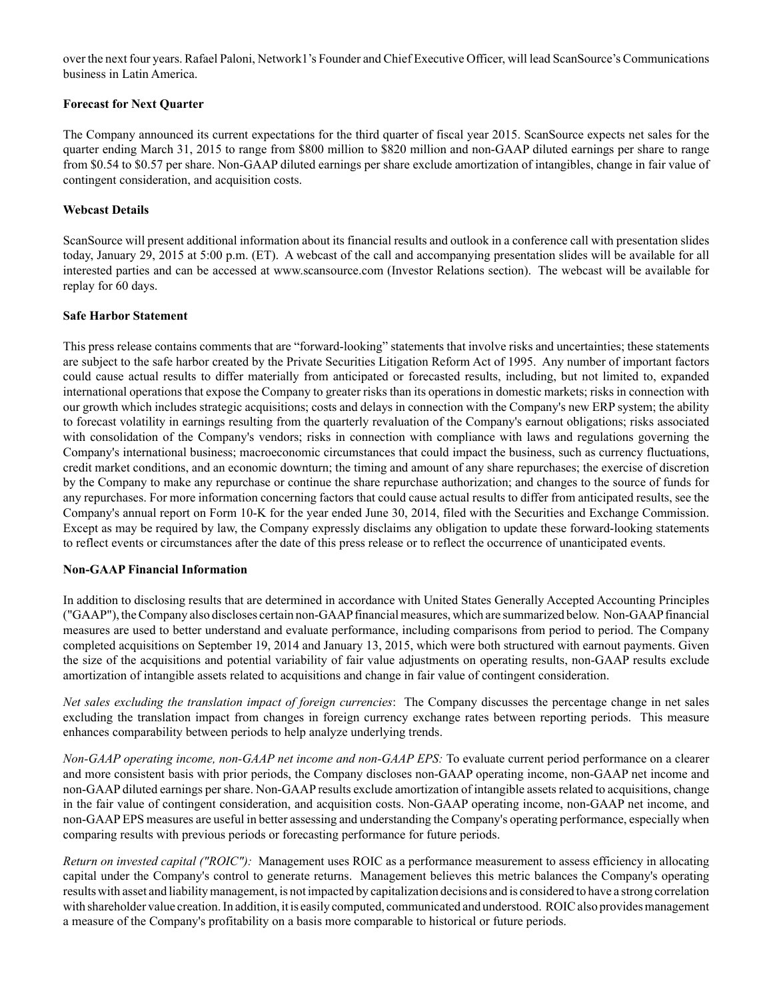over the next four years. Rafael Paloni, Network1's Founder and Chief Executive Officer, will lead ScanSource's Communications business in Latin America.

### **Forecast for Next Quarter**

The Company announced its current expectations for the third quarter of fiscal year 2015. ScanSource expects net sales for the quarter ending March 31, 2015 to range from \$800 million to \$820 million and non-GAAP diluted earnings per share to range from \$0.54 to \$0.57 per share. Non-GAAPdiluted earnings per share exclude amortization of intangibles, change in fair value of contingent consideration, and acquisition costs.

### **Webcast Details**

ScanSource will present additional information about its financial results and outlook in a conference call with presentation slides today, January 29, 2015 at 5:00 p.m. (ET). A webcast of the call and accompanying presentation slides will be available for all interested parties and can be accessed at www.scansource.com (Investor Relations section). The webcast will be available for replay for 60 days.

### **Safe Harbor Statement**

This press release contains comments that are "forward-looking" statements that involve risks and uncertainties; these statements are subject to the safe harbor created by the Private Securities Litigation Reform Act of 1995. Any number of important factors could cause actual results to differ materially from anticipated or forecasted results, including, but not limited to, expanded international operations that expose the Company to greater risks than its operations in domestic markets; risks in connection with our growth which includes strategic acquisitions; costs and delays in connection with the Company's new ERP system; the ability to forecast volatility in earnings resulting from the quarterly revaluation of the Company's earnout obligations; risks associated with consolidation of the Company's vendors; risks in connection with compliance with laws and regulations governing the Company's international business; macroeconomic circumstances that could impact the business, such as currency fluctuations, credit market conditions, and an economic downturn; the timing and amount of any share repurchases; the exercise of discretion by the Company to make any repurchase or continue the share repurchase authorization; and changes to the source of funds for any repurchases. For more information concerning factors that could cause actual results to differ from anticipated results, see the Company's annual report on Form 10-K for the year ended June 30, 2014, filed with the Securities and Exchange Commission. Except as may be required by law, the Company expressly disclaims any obligation to update these forward-looking statements to reflect events or circumstances after the date of this press release or to reflect the occurrence of unanticipated events.

### **Non-GAAP Financial Information**

In addition to disclosing results that are determined in accordance with United States Generally Accepted Accounting Principles ("GAAP"), the Company also discloses certain non-GAAPfinancial measures, which are summarized below. Non-GAAPfinancial measures are used to better understand and evaluate performance, including comparisons from period to period. The Company completed acquisitions on September 19, 2014 and January 13, 2015, which were both structured with earnout payments. Given the size of the acquisitions and potential variability of fair value adjustments on operating results, non-GAAP results exclude amortization of intangible assets related to acquisitions and change in fair value of contingent consideration.

*Net sales excluding the translation impact of foreign currencies*: The Company discusses the percentage change in net sales excluding the translation impact from changes in foreign currency exchange rates between reporting periods. This measure enhances comparability between periods to help analyze underlying trends.

*Non-GAAP operating income, non-GAAP net income and non-GAAP EPS:* To evaluate current period performance on a clearer and more consistent basis with prior periods, the Company discloses non-GAAP operating income, non-GAAP net income and non-GAAP diluted earnings per share. Non-GAAP results exclude amortization of intangible assets related to acquisitions, change in the fair value of contingent consideration, and acquisition costs. Non-GAAP operating income, non-GAAP net income, and non-GAAPEPS measures are useful in better assessing and understanding the Company's operating performance, especially when comparing results with previous periods or forecasting performance for future periods.

*Return on invested capital ("ROIC"):* Management uses ROIC as a performance measurement to assess efficiency in allocating capital under the Company's control to generate returns. Management believes this metric balances the Company's operating results with asset and liability management, is not impacted by capitalization decisions and is considered to have a strong correlation with shareholder value creation. In addition, it is easily computed, communicated and understood. ROIC also provides management a measure of the Company's profitability on a basis more comparable to historical or future periods.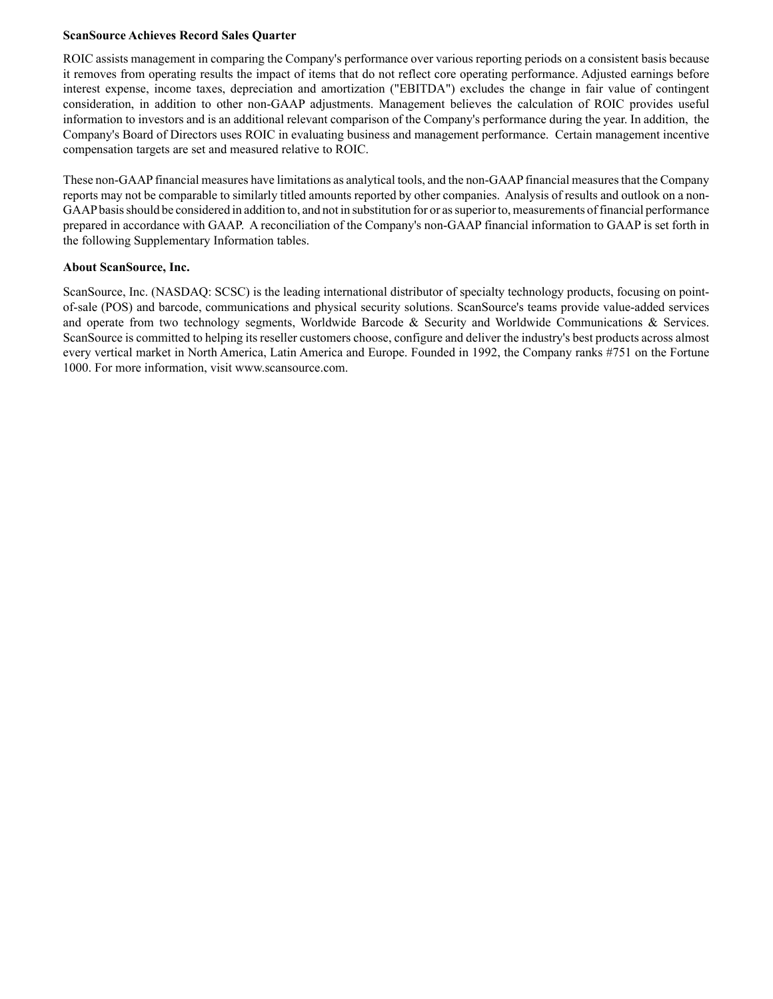### **ScanSource Achieves Record Sales Quarter**

ROIC assists management in comparing the Company's performance over various reporting periods on a consistent basis because it removes from operating results the impact of items that do not reflect core operating performance. Adjusted earnings before interest expense, income taxes, depreciation and amortization ("EBITDA") excludes the change in fair value of contingent consideration, in addition to other non-GAAP adjustments. Management believes the calculation of ROIC provides useful information to investors and is an additional relevant comparison of the Company's performance during the year. In addition, the Company's Board of Directors uses ROIC in evaluating business and management performance. Certain management incentive compensation targets are set and measured relative to ROIC.

These non-GAAPfinancial measures have limitations as analytical tools, and the non-GAAPfinancial measures that the Company reports may not be comparable to similarly titled amounts reported by other companies. Analysis of results and outlook on a non-GAAPbasis should be considered in addition to, and not in substitution for or as superior to, measurements of financial performance prepared in accordance with GAAP. A reconciliation of the Company's non-GAAPfinancial information to GAAPis set forth in the following Supplementary Information tables.

### **About ScanSource, Inc.**

ScanSource, Inc. (NASDAQ: SCSC) is the leading international distributor of specialty technology products, focusing on pointof-sale (POS) and barcode, communications and physical security solutions. ScanSource's teams provide value-added services and operate from two technology segments, Worldwide Barcode & Security and Worldwide Communications & Services. ScanSource is committed to helping its reseller customers choose, configure and deliver the industry's best products across almost every vertical market in North America, Latin America and Europe. Founded in 1992, the Company ranks #751 on the Fortune 1000. For more information, visit www.scansource.com.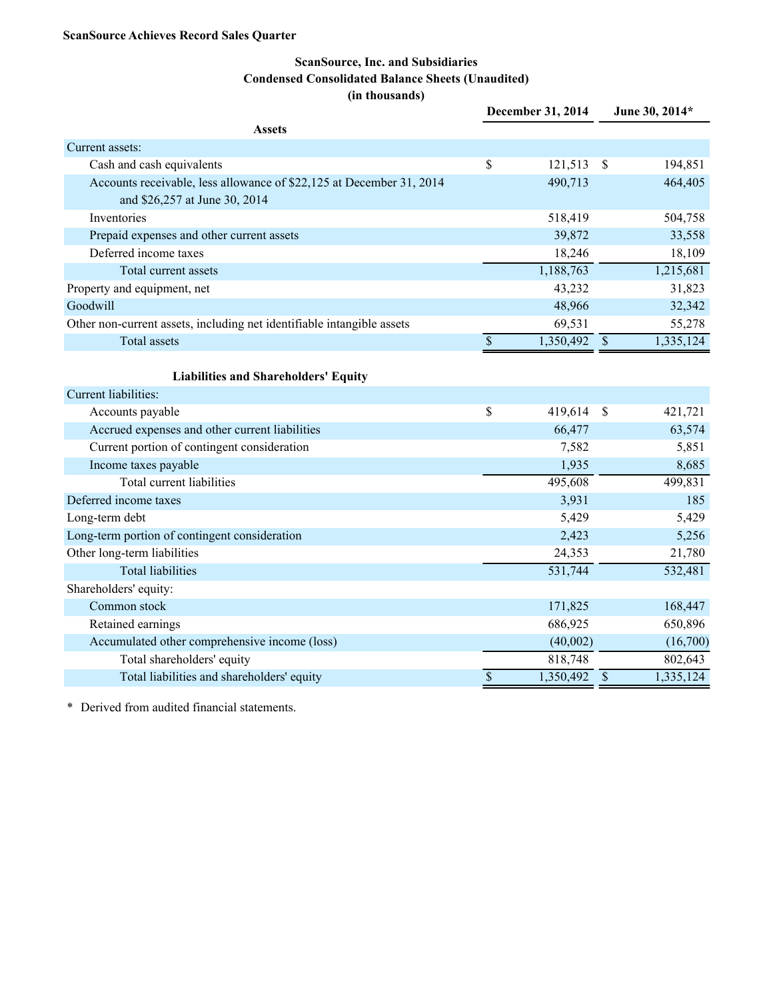# **ScanSource, Inc. and Subsidiaries Condensed Consolidated Balance Sheets (Unaudited) (in thousands)**

|                                                                        | December 31, 2014 |              |                      | June 30, 2014* |
|------------------------------------------------------------------------|-------------------|--------------|----------------------|----------------|
| <b>Assets</b>                                                          |                   |              |                      |                |
| Current assets:                                                        |                   |              |                      |                |
| Cash and cash equivalents                                              | \$                | 121,513      | <sup>\$</sup>        | 194,851        |
| Accounts receivable, less allowance of \$22,125 at December 31, 2014   |                   | 490,713      |                      | 464,405        |
| and \$26,257 at June 30, 2014                                          |                   |              |                      |                |
| Inventories                                                            |                   | 518,419      |                      | 504,758        |
| Prepaid expenses and other current assets                              |                   | 39,872       |                      | 33,558         |
| Deferred income taxes                                                  |                   | 18,246       |                      | 18,109         |
| Total current assets                                                   |                   | 1,188,763    |                      | 1,215,681      |
| Property and equipment, net                                            |                   | 43,232       |                      | 31,823         |
| Goodwill                                                               |                   | 48,966       |                      | 32,342         |
| Other non-current assets, including net identifiable intangible assets |                   | 69,531       |                      | 55,278         |
| <b>Total assets</b>                                                    | $\overline{\$}$   | 1,350,492 \$ |                      | 1,335,124      |
|                                                                        |                   |              |                      |                |
| <b>Liabilities and Shareholders' Equity</b>                            |                   |              |                      |                |
| Current liabilities:                                                   |                   |              |                      |                |
| Accounts payable                                                       | \$                | 419,614      | $\mathcal{S}$        | 421,721        |
| Accrued expenses and other current liabilities                         |                   | 66,477       |                      | 63,574         |
| Current portion of contingent consideration                            |                   | 7,582        |                      | 5,851          |
| Income taxes payable                                                   |                   | 1,935        |                      | 8,685          |
| Total current liabilities                                              |                   | 495,608      |                      | 499,831        |
| Deferred income taxes                                                  |                   | 3,931        |                      | 185            |
| Long-term debt                                                         |                   | 5,429        |                      | 5,429          |
| Long-term portion of contingent consideration                          |                   | 2,423        |                      | 5,256          |
| Other long-term liabilities                                            |                   | 24,353       |                      | 21,780         |
| <b>Total liabilities</b>                                               |                   | 531,744      |                      | 532,481        |
| Shareholders' equity:                                                  |                   |              |                      |                |
| Common stock                                                           |                   | 171,825      |                      | 168,447        |
| Retained earnings                                                      |                   | 686,925      |                      | 650,896        |
| Accumulated other comprehensive income (loss)                          |                   | (40,002)     |                      | (16,700)       |
| Total shareholders' equity                                             |                   | 818,748      |                      | 802,643        |
| Total liabilities and shareholders' equity                             | $\mathbb S$       | 1,350,492    | $\sqrt{\frac{2}{5}}$ | 1,335,124      |

\* Derived from audited financial statements.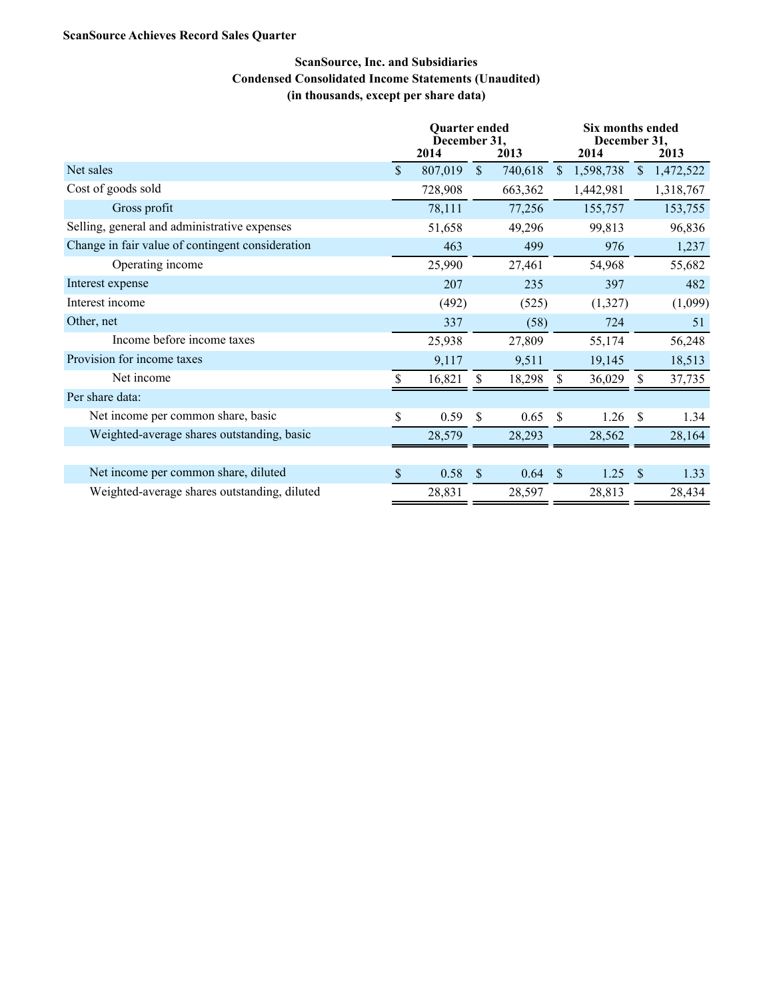## **ScanSource Achieves Record Sales Quarter**

# **ScanSource, Inc. and Subsidiaries Condensed Consolidated Income Statements (Unaudited) (in thousands, except per share data)**

|                                                  | Quarter ended<br>December 31,<br>2014<br>2013 |         |              |         |               | Six months ended<br>December 31,<br>2014<br>2013 |              |           |  |        |  |
|--------------------------------------------------|-----------------------------------------------|---------|--------------|---------|---------------|--------------------------------------------------|--------------|-----------|--|--------|--|
| Net sales                                        | \$                                            | 807,019 | $\mathbb{S}$ | 740,618 | <sup>\$</sup> | 1,598,738                                        | $\mathbb{S}$ | 1,472,522 |  |        |  |
| Cost of goods sold                               |                                               | 728,908 |              | 663,362 |               | 1,442,981                                        |              | 1,318,767 |  |        |  |
| Gross profit                                     |                                               | 78,111  |              | 77,256  |               | 155,757                                          |              | 153,755   |  |        |  |
| Selling, general and administrative expenses     |                                               | 51,658  |              | 49,296  |               | 99,813                                           |              | 96,836    |  |        |  |
| Change in fair value of contingent consideration |                                               | 463     |              | 499     |               | 976                                              |              | 1,237     |  |        |  |
| Operating income                                 |                                               | 25,990  |              | 27,461  |               | 54,968                                           |              | 55,682    |  |        |  |
| Interest expense                                 |                                               | 207     |              | 235     |               | 397                                              |              | 482       |  |        |  |
| Interest income                                  |                                               | (492)   |              | (525)   |               | (1,327)                                          |              | (1,099)   |  |        |  |
| Other, net                                       |                                               | 337     |              | (58)    |               | 724                                              |              | 51        |  |        |  |
| Income before income taxes                       |                                               | 25,938  |              | 27,809  |               | 55,174                                           |              | 56,248    |  |        |  |
| Provision for income taxes                       |                                               | 9,117   |              | 9,511   |               | 19,145                                           |              | 18,513    |  |        |  |
| Net income                                       |                                               | 16,821  | S            | 18,298  | \$.           | 36,029                                           | S.           | 37,735    |  |        |  |
| Per share data:                                  |                                               |         |              |         |               |                                                  |              |           |  |        |  |
| Net income per common share, basic               | S                                             | 0.59    | \$           | 0.65    | <sup>S</sup>  | 1.26                                             | -S           | 1.34      |  |        |  |
| Weighted-average shares outstanding, basic       |                                               | 28,579  |              | 28,293  |               | 28,562                                           |              | 28,164    |  |        |  |
|                                                  |                                               |         |              |         |               |                                                  |              |           |  |        |  |
| Net income per common share, diluted             | \$                                            | 0.58    | $\sqrt{S}$   | 0.64    | $\mathcal{S}$ | 1.25                                             | - \$         | 1.33      |  |        |  |
| Weighted-average shares outstanding, diluted     |                                               | 28,831  |              | 28,597  |               |                                                  |              | 28,813    |  | 28,434 |  |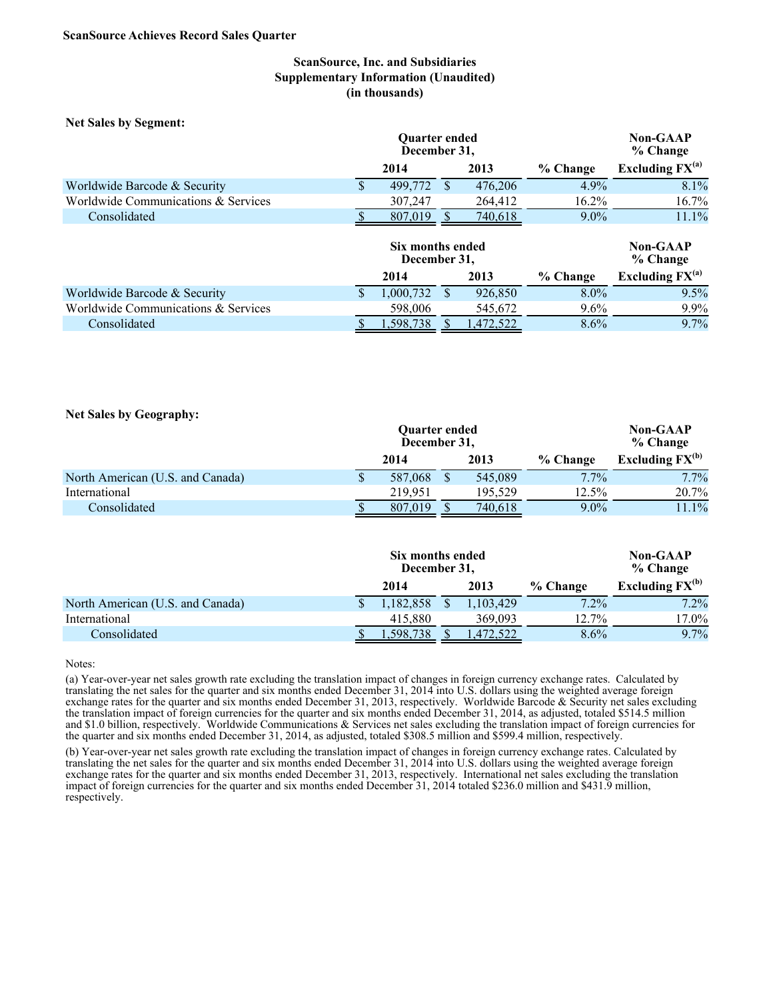### **ScanSource, Inc. and Subsidiaries Supplementary Information (Unaudited) (in thousands)**

**Net Sales by Segment: Quarter ended December 31, Non-GAAP % Change 2014 2013 % Change Excluding FX(a)** Worldwide Barcode & Security  $\frac{10}{3}$  499,772  $\frac{10}{3}$  476,206 4.9% 4.9% 8.1% Worldwide Communications & Services 307,247 264,412 16.2% 16.7% Consolidated  $\frac{\$}{\$}$  807,019  $\frac{\$}{\$}$  740,618 9.0% 11.1% **Six months ended December 31, Non-GAAP % Change 2014 2013 % Change Excluding FX(a)**

|                                     | 2014     | 2013     | % Change | Excluding $FX^{(a)}$ |
|-------------------------------------|----------|----------|----------|----------------------|
| Worldwide Barcode & Security        | .000.732 | 926.850  | $8.0\%$  | $9.5\%$              |
| Worldwide Communications & Services | 598.006  | 545.672  | 9.6%     | 9.9%                 |
| <b>Consolidated</b>                 | .598.738 | .472.522 | $8.6\%$  | $9.7\%$              |

#### **Net Sales by Geography:**

|                                  | <b>Ouarter ended</b><br>December 31, | <b>Non-GAAP</b><br>% Change |          |                      |
|----------------------------------|--------------------------------------|-----------------------------|----------|----------------------|
|                                  | 2014                                 | 2013                        | % Change | Excluding $FX^{(b)}$ |
| North American (U.S. and Canada) | 587.068                              | 545.089                     | $7.7\%$  | $7.7\%$              |
| International                    | 219.951                              | 195.529                     | 12.5%    | 20.7%                |
| Consolidated                     | 807,019                              | 740.618                     | $9.0\%$  | $1.1\%$              |

|                                  | Six months ended<br>December 31, | <b>Non-GAAP</b><br>% Change |          |                      |
|----------------------------------|----------------------------------|-----------------------------|----------|----------------------|
|                                  | 2014                             | 2013                        | % Change | Excluding $FX^{(b)}$ |
| North American (U.S. and Canada) | 1,182,858                        | 1.103.429                   | 7.2%     | $7.2\%$              |
| International                    | 415.880                          | 369.093                     | 12.7%    | 17.0%                |
| Consolidated                     | .598.738                         | .472.522                    | 8.6%     | $9.7\%$              |

Notes:

(a) Year-over-year net sales growth rate excluding the translation impact of changes in foreign currency exchange rates. Calculated by translating the net sales for the quarter and six months ended December 31, 2014 into U.S. dollars using the weighted average foreign exchange rates for the quarter and six months ended December 31, 2013, respectively. Worldwide Barcode & Security net sales excluding the translation impact of foreign currencies for the quarter and six months ended December 31, 2014, as adjusted, totaled \$514.5 million and \$1.0 billion, respectively. Worldwide Communications & Services net sales excluding the translation impact of foreign currencies for the quarter and six months ended December 31, 2014, as adjusted, totaled \$308.5 million and \$599.4 million, respectively.

(b) Year-over-year net sales growth rate excluding the translation impact of changes in foreign currency exchange rates. Calculated by translating the net sales for the quarter and six months ended December 31, 2014 into U.S. dollars using the weighted average foreign exchange rates for the quarter and six months ended December 31, 2013, respectively. International net sales excluding the translation impact of foreign currencies for the quarter and six months ended December 31, 2014 totaled \$236.0 million and \$431.9 million, respectively.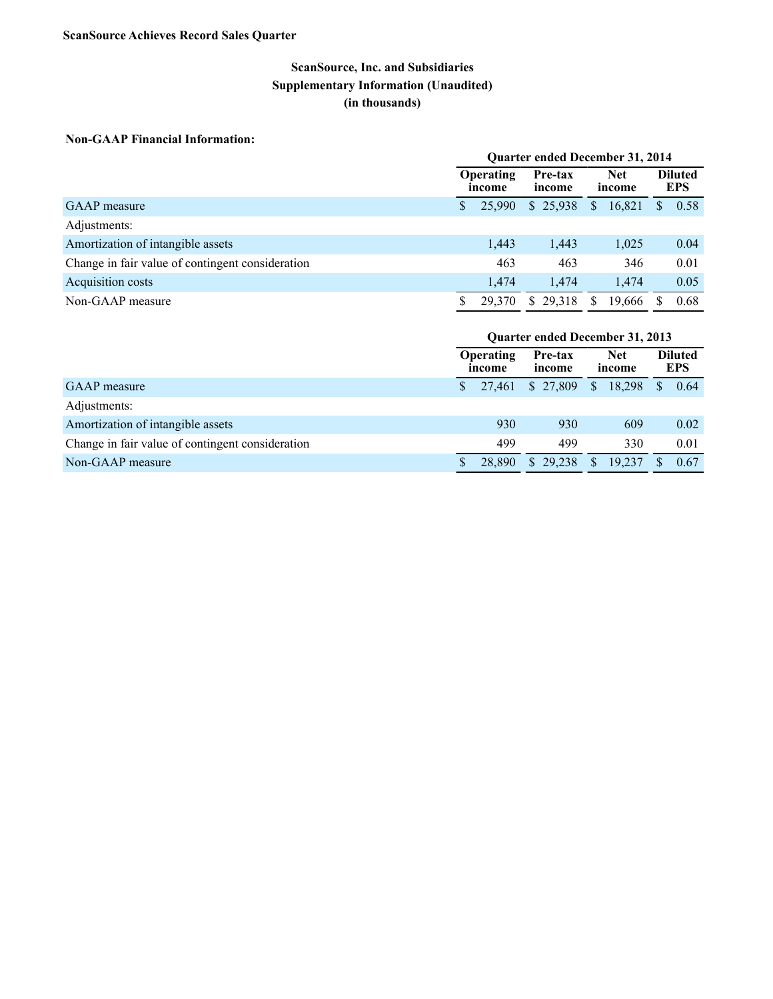# **ScanSource, Inc. and Subsidiaries Supplementary Information (Unaudited) (in thousands)**

## **Non-GAAP Financial Information:**

|                                                  | <b>Quarter ended December 31, 2014</b> |        |                                           |              |        |   |                              |  |
|--------------------------------------------------|----------------------------------------|--------|-------------------------------------------|--------------|--------|---|------------------------------|--|
|                                                  | Operating<br>income                    |        | <b>Net</b><br>Pre-tax<br>income<br>income |              |        |   | <b>Diluted</b><br><b>EPS</b> |  |
| <b>GAAP</b> measure                              |                                        | 25,990 | \$25,938                                  | <sup>S</sup> | 16,821 | S | 0.58                         |  |
| Adjustments:                                     |                                        |        |                                           |              |        |   |                              |  |
| Amortization of intangible assets                |                                        | 1,443  | 1,443                                     |              | 1,025  |   | 0.04                         |  |
| Change in fair value of contingent consideration |                                        | 463    | 463                                       |              | 346    |   | 0.01                         |  |
| Acquisition costs                                |                                        | 1.474  | 1.474                                     |              | 1,474  |   | 0.05                         |  |
| Non-GAAP measure                                 |                                        | 29,370 | \$29,318                                  | S.           | 19.666 |   | 0.68                         |  |

|                                                  | Quarter ended December 31, 2013 |                            |                   |                      |        |  |                              |  |
|--------------------------------------------------|---------------------------------|----------------------------|-------------------|----------------------|--------|--|------------------------------|--|
|                                                  |                                 | <b>Operating</b><br>income | Pre-tax<br>income | <b>Net</b><br>income |        |  | <b>Diluted</b><br><b>EPS</b> |  |
| <b>GAAP</b> measure                              |                                 | 27.461                     | \$27,809          | $\mathbb{S}$         | 18,298 |  | 0.64                         |  |
| Adjustments:                                     |                                 |                            |                   |                      |        |  |                              |  |
| Amortization of intangible assets                |                                 | 930                        | 930               |                      | 609    |  | 0.02                         |  |
| Change in fair value of contingent consideration |                                 | 499                        | 499               |                      | 330    |  | 0.01                         |  |
| Non-GAAP measure                                 |                                 | 28,890                     | \$29,238          | S.                   | 19.237 |  | 0.67                         |  |